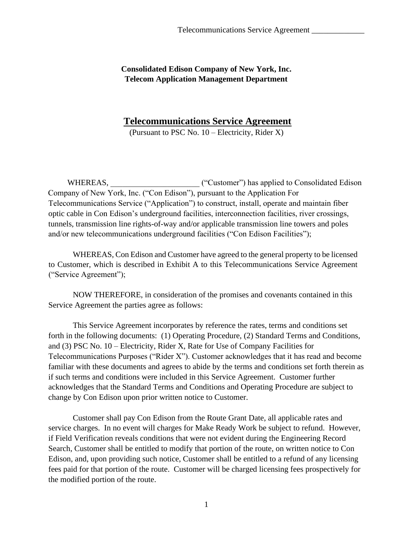**Consolidated Edison Company of New York, Inc. Telecom Application Management Department** 

## **Telecommunications Service Agreement**

(Pursuant to PSC No. 10 – Electricity, Rider X)

WHEREAS,  $($ "Customer") has applied to Consolidated Edison Company of New York, Inc. ("Con Edison"), pursuant to the Application For Telecommunications Service ("Application") to construct, install, operate and maintain fiber optic cable in Con Edison's underground facilities, interconnection facilities, river crossings, tunnels, transmission line rights-of-way and/or applicable transmission line towers and poles and/or new telecommunications underground facilities ("Con Edison Facilities");

WHEREAS, Con Edison and Customer have agreed to the general property to be licensed to Customer, which is described in Exhibit A to this Telecommunications Service Agreement ("Service Agreement");

NOW THEREFORE, in consideration of the promises and covenants contained in this Service Agreement the parties agree as follows:

This Service Agreement incorporates by reference the rates, terms and conditions set forth in the following documents: (1) Operating Procedure, (2) Standard Terms and Conditions, and (3) PSC No. 10 – Electricity, Rider X, Rate for Use of Company Facilities for Telecommunications Purposes ("Rider X"). Customer acknowledges that it has read and become familiar with these documents and agrees to abide by the terms and conditions set forth therein as if such terms and conditions were included in this Service Agreement. Customer further acknowledges that the Standard Terms and Conditions and Operating Procedure are subject to change by Con Edison upon prior written notice to Customer.

Customer shall pay Con Edison from the Route Grant Date, all applicable rates and service charges. In no event will charges for Make Ready Work be subject to refund. However, if Field Verification reveals conditions that were not evident during the Engineering Record Search, Customer shall be entitled to modify that portion of the route, on written notice to Con Edison, and, upon providing such notice, Customer shall be entitled to a refund of any licensing fees paid for that portion of the route. Customer will be charged licensing fees prospectively for the modified portion of the route.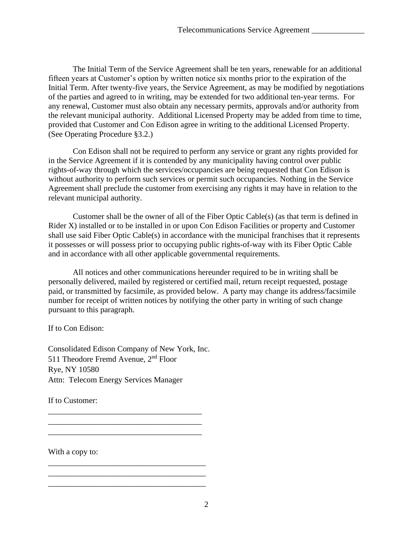The Initial Term of the Service Agreement shall be ten years, renewable for an additional fifteen years at Customer's option by written notice six months prior to the expiration of the Initial Term. After twenty-five years, the Service Agreement, as may be modified by negotiations of the parties and agreed to in writing, may be extended for two additional ten-year terms. For any renewal, Customer must also obtain any necessary permits, approvals and/or authority from the relevant municipal authority. Additional Licensed Property may be added from time to time, provided that Customer and Con Edison agree in writing to the additional Licensed Property. (See Operating Procedure §3.2.)

Con Edison shall not be required to perform any service or grant any rights provided for in the Service Agreement if it is contended by any municipality having control over public rights-of-way through which the services/occupancies are being requested that Con Edison is without authority to perform such services or permit such occupancies. Nothing in the Service Agreement shall preclude the customer from exercising any rights it may have in relation to the relevant municipal authority.

Customer shall be the owner of all of the Fiber Optic Cable(s) (as that term is defined in Rider X) installed or to be installed in or upon Con Edison Facilities or property and Customer shall use said Fiber Optic Cable(s) in accordance with the municipal franchises that it represents it possesses or will possess prior to occupying public rights-of-way with its Fiber Optic Cable and in accordance with all other applicable governmental requirements.

All notices and other communications hereunder required to be in writing shall be personally delivered, mailed by registered or certified mail, return receipt requested, postage paid, or transmitted by facsimile, as provided below. A party may change its address/facsimile number for receipt of written notices by notifying the other party in writing of such change pursuant to this paragraph.

If to Con Edison:

Consolidated Edison Company of New York, Inc. 511 Theodore Fremd Avenue, 2<sup>nd</sup> Floor Rye, NY 10580 Attn: Telecom Energy Services Manager

\_\_\_\_\_\_\_\_\_\_\_\_\_\_\_\_\_\_\_\_\_\_\_\_\_\_\_\_\_\_\_\_\_\_\_\_\_\_ \_\_\_\_\_\_\_\_\_\_\_\_\_\_\_\_\_\_\_\_\_\_\_\_\_\_\_\_\_\_\_\_\_\_\_\_\_\_ \_\_\_\_\_\_\_\_\_\_\_\_\_\_\_\_\_\_\_\_\_\_\_\_\_\_\_\_\_\_\_\_\_\_\_\_\_\_

\_\_\_\_\_\_\_\_\_\_\_\_\_\_\_\_\_\_\_\_\_\_\_\_\_\_\_\_\_\_\_\_\_\_\_\_\_\_\_ \_\_\_\_\_\_\_\_\_\_\_\_\_\_\_\_\_\_\_\_\_\_\_\_\_\_\_\_\_\_\_\_\_\_\_\_\_\_\_ \_\_\_\_\_\_\_\_\_\_\_\_\_\_\_\_\_\_\_\_\_\_\_\_\_\_\_\_\_\_\_\_\_\_\_\_\_\_\_

If to Customer:

With a copy to: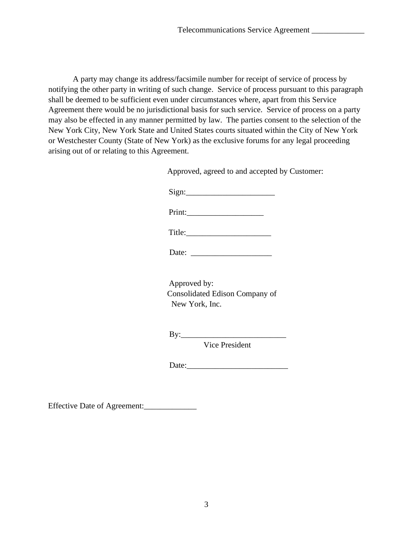A party may change its address/facsimile number for receipt of service of process by notifying the other party in writing of such change. Service of process pursuant to this paragraph shall be deemed to be sufficient even under circumstances where, apart from this Service Agreement there would be no jurisdictional basis for such service. Service of process on a party may also be effected in any manner permitted by law. The parties consent to the selection of the New York City, New York State and United States courts situated within the City of New York or Westchester County (State of New York) as the exclusive forums for any legal proceeding arising out of or relating to this Agreement.

Approved, agreed to and accepted by Customer:

 $Sign:$ 

Print:

Date:

Approved by: Consolidated Edison Company of New York, Inc.

By:\_\_\_\_\_\_\_\_\_\_\_\_\_\_\_\_\_\_\_\_\_\_\_\_\_\_

Vice President

Date:\_\_\_\_\_\_\_\_\_\_\_\_\_\_\_\_\_\_\_\_\_\_\_\_\_

Effective Date of Agreement:\_\_\_\_\_\_\_\_\_\_\_\_\_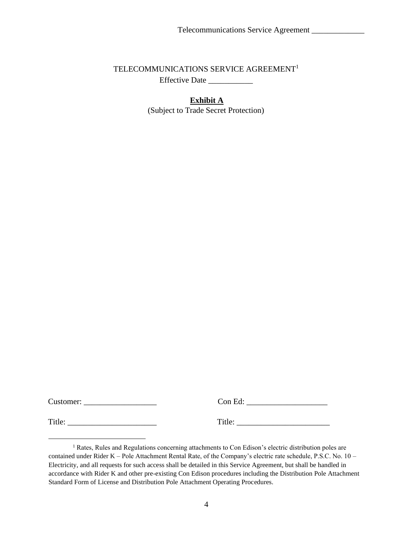## TELECOMMUNICATIONS SERVICE AGREEMENT<sup>1</sup> Effective Date \_\_\_\_\_\_\_\_\_\_\_

**Exhibit A** (Subject to Trade Secret Protection)

Customer: \_\_\_\_\_\_\_\_\_\_\_\_\_\_\_\_\_\_ Con Ed: \_\_\_\_\_\_\_\_\_\_\_\_\_\_\_\_\_\_\_\_

Title: \_\_\_\_\_\_\_\_\_\_\_\_\_\_\_\_\_\_\_\_\_\_ Title: \_\_\_\_\_\_\_\_\_\_\_\_\_\_\_\_\_\_\_\_\_\_\_

<sup>&</sup>lt;sup>1</sup> Rates, Rules and Regulations concerning attachments to Con Edison's electric distribution poles are contained under Rider K – Pole Attachment Rental Rate, of the Company's electric rate schedule, P.S.C. No. 10 – Electricity, and all requests for such access shall be detailed in this Service Agreement, but shall be handled in accordance with Rider K and other pre-existing Con Edison procedures including the Distribution Pole Attachment Standard Form of License and Distribution Pole Attachment Operating Procedures.